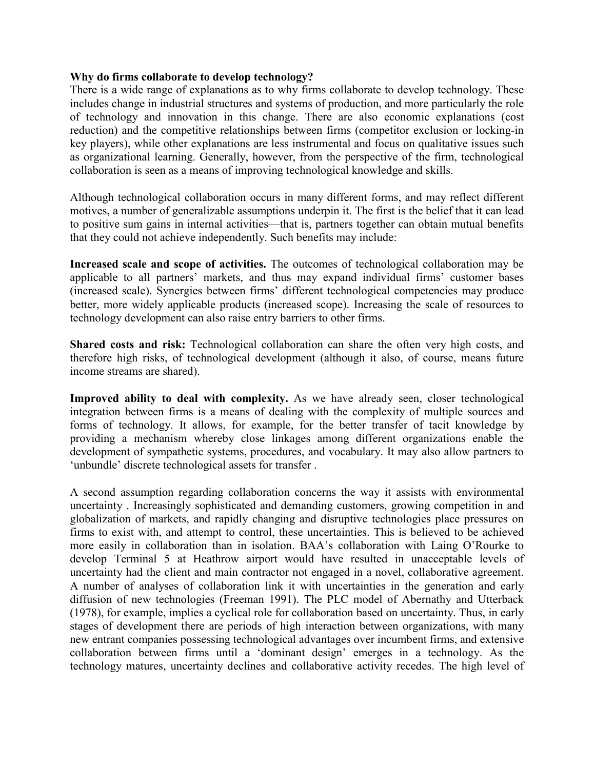### **Why do firms collaborate to develop technology?**

There is a wide range of explanations as to why firms collaborate to develop technology. These includes change in industrial structures and systems of production, and more particularly the role of technology and innovation in this change. There are also economic explanations (cost reduction) and the competitive relationships between firms (competitor exclusion or locking-in key players), while other explanations are less instrumental and focus on qualitative issues such as organizational learning. Generally, however, from the perspective of the firm, technological collaboration is seen as a means of improving technological knowledge and skills.

Although technological collaboration occurs in many different forms, and may reflect different motives, a number of generalizable assumptions underpin it. The first is the belief that it can lead to positive sum gains in internal activities—that is, partners together can obtain mutual benefits that they could not achieve independently. Such benefits may include:

**Increased scale and scope of activities.** The outcomes of technological collaboration may be applicable to all partners' markets, and thus may expand individual firms' customer bases (increased scale). Synergies between firms' different technological competencies may produce better, more widely applicable products (increased scope). Increasing the scale of resources to technology development can also raise entry barriers to other firms.

**Shared costs and risk:** Technological collaboration can share the often very high costs, and therefore high risks, of technological development (although it also, of course, means future income streams are shared).

**Improved ability to deal with complexity.** As we have already seen, closer technological integration between firms is a means of dealing with the complexity of multiple sources and forms of technology. It allows, for example, for the better transfer of tacit knowledge by providing a mechanism whereby close linkages among different organizations enable the development of sympathetic systems, procedures, and vocabulary. It may also allow partners to 'unbundle' discrete technological assets for transfer .

A second assumption regarding collaboration concerns the way it assists with environmental uncertainty . Increasingly sophisticated and demanding customers, growing competition in and globalization of markets, and rapidly changing and disruptive technologies place pressures on firms to exist with, and attempt to control, these uncertainties. This is believed to be achieved more easily in collaboration than in isolation. BAA's collaboration with Laing O'Rourke to develop Terminal 5 at Heathrow airport would have resulted in unacceptable levels of uncertainty had the client and main contractor not engaged in a novel, collaborative agreement. A number of analyses of collaboration link it with uncertainties in the generation and early diffusion of new technologies (Freeman 1991). The PLC model of Abernathy and Utterback (1978), for example, implies a cyclical role for collaboration based on uncertainty. Thus, in early stages of development there are periods of high interaction between organizations, with many new entrant companies possessing technological advantages over incumbent firms, and extensive collaboration between firms until a 'dominant design' emerges in a technology. As the technology matures, uncertainty declines and collaborative activity recedes. The high level of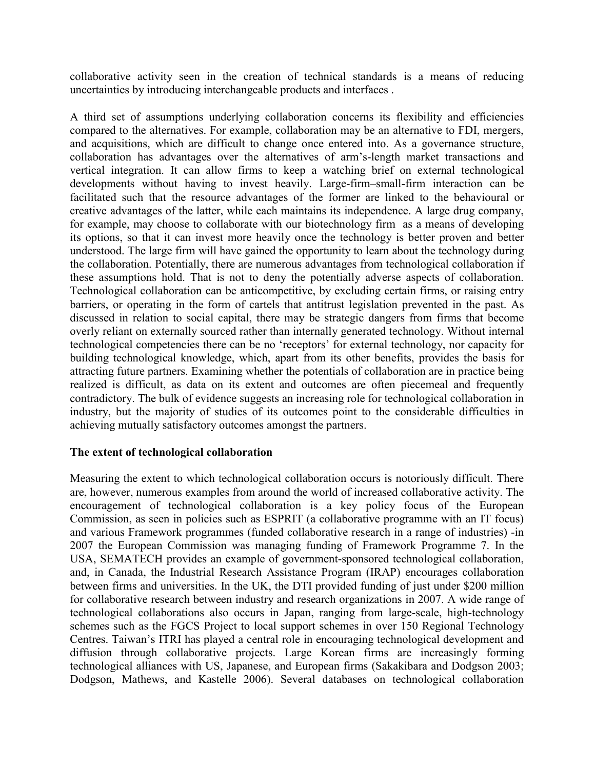collaborative activity seen in the creation of technical standards is a means of reducing uncertainties by introducing interchangeable products and interfaces .

A third set of assumptions underlying collaboration concerns its flexibility and efficiencies compared to the alternatives. For example, collaboration may be an alternative to FDI, mergers, and acquisitions, which are difficult to change once entered into. As a governance structure, collaboration has advantages over the alternatives of arm's-length market transactions and vertical integration. It can allow firms to keep a watching brief on external technological developments without having to invest heavily. Large-firm–small-firm interaction can be facilitated such that the resource advantages of the former are linked to the behavioural or creative advantages of the latter, while each maintains its independence. A large drug company, for example, may choose to collaborate with our biotechnology firm as a means of developing its options, so that it can invest more heavily once the technology is better proven and better understood. The large firm will have gained the opportunity to learn about the technology during the collaboration. Potentially, there are numerous advantages from technological collaboration if these assumptions hold. That is not to deny the potentially adverse aspects of collaboration. Technological collaboration can be anticompetitive, by excluding certain firms, or raising entry barriers, or operating in the form of cartels that antitrust legislation prevented in the past. As discussed in relation to social capital, there may be strategic dangers from firms that become overly reliant on externally sourced rather than internally generated technology. Without internal technological competencies there can be no 'receptors' for external technology, nor capacity for building technological knowledge, which, apart from its other benefits, provides the basis for attracting future partners. Examining whether the potentials of collaboration are in practice being realized is difficult, as data on its extent and outcomes are often piecemeal and frequently contradictory. The bulk of evidence suggests an increasing role for technological collaboration in industry, but the majority of studies of its outcomes point to the considerable difficulties in achieving mutually satisfactory outcomes amongst the partners.

### **The extent of technological collaboration**

Measuring the extent to which technological collaboration occurs is notoriously difficult. There are, however, numerous examples from around the world of increased collaborative activity. The encouragement of technological collaboration is a key policy focus of the European Commission, as seen in policies such as ESPRIT (a collaborative programme with an IT focus) and various Framework programmes (funded collaborative research in a range of industries) -in 2007 the European Commission was managing funding of Framework Programme 7. In the USA, SEMATECH provides an example of government-sponsored technological collaboration, and, in Canada, the Industrial Research Assistance Program (IRAP) encourages collaboration between firms and universities. In the UK, the DTI provided funding of just under \$200 million for collaborative research between industry and research organizations in 2007. A wide range of technological collaborations also occurs in Japan, ranging from large-scale, high-technology schemes such as the FGCS Project to local support schemes in over 150 Regional Technology Centres. Taiwan's ITRI has played a central role in encouraging technological development and diffusion through collaborative projects. Large Korean firms are increasingly forming technological alliances with US, Japanese, and European firms (Sakakibara and Dodgson 2003; Dodgson, Mathews, and Kastelle 2006). Several databases on technological collaboration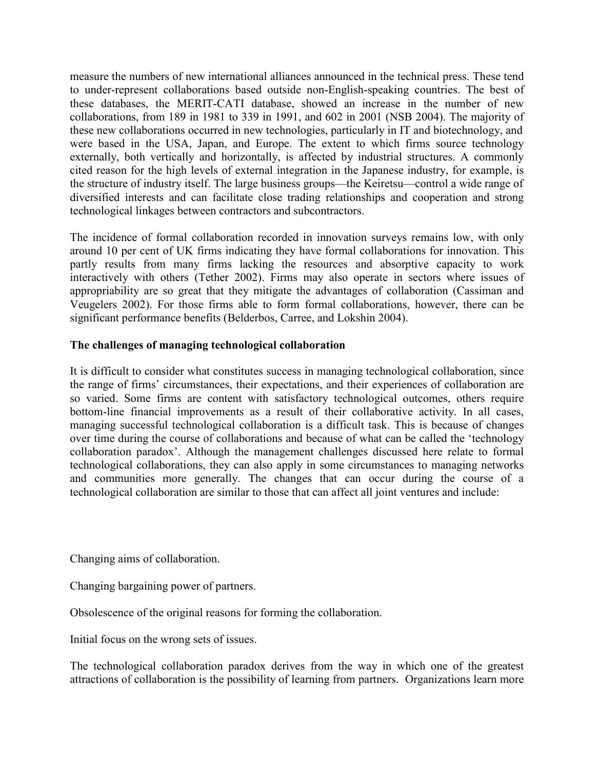measure the numbers of new international alliances announced in the technical press. These tend to under-represent collaborations based outside non-English-speaking countries. The best of these databases, the MERIT-CATI database, showed an increase in the number of new collaborations, from 189 in 1981 to 339 in 1991, and 602 in 2001 (NSB 2004). The majority of these new collaborations occurred in new technologies, particularly in IT and biotechnology, and were based in the USA, Japan, and Europe. The extent to which firms source technology externally, both vertically and horizontally, is affected by industrial structures. A commonly cited reason for the high levels of external integration in the Japanese industry, for example, is the structure of industry itself. The large business groups—the Keiretsu—control a wide range of diversified interests and can facilitate close trading relationships and cooperation and strong technological linkages between contractors and subcontractors.

The incidence of formal collaboration recorded in innovation surveys remains low, with only around 10 per cent of UK firms indicating they have formal collaborations for innovation. This partly results from many firms lacking the resources and absorptive capacity to work interactively with others (Tether 2002). Firms may also operate in sectors where issues of appropriability are so great that they mitigate the advantages of collaboration (Cassiman and Veugelers 2002). For those firms able to form formal collaborations, however, there can be significant performance benefits (Belderbos, Carree, and Lokshin 2004).

### **The challenges of managing technological collaboration**

It is difficult to consider what constitutes success in managing technological collaboration, since the range of firms' circumstances, their expectations, and their experiences of collaboration are so varied. Some firms are content with satisfactory technological outcomes, others require bottom-line financial improvements as a result of their collaborative activity. In all cases, managing successful technological collaboration is a difficult task. This is because of changes over time during the course of collaborations and because of what can be called the 'technology collaboration paradox'. Although the management challenges discussed here relate to formal technological collaborations, they can also apply in some circumstances to managing networks and communities more generally. The changes that can occur during the course of a technological collaboration are similar to those that can affect all joint ventures and include:

Changing aims of collaboration.

Changing bargaining power of partners.

Obsolescence of the original reasons for forming the collaboration.

Initial focus on the wrong sets of issues.

The technological collaboration paradox derives from the way in which one of the greatest attractions of collaboration is the possibility of learning from partners. Organizations learn more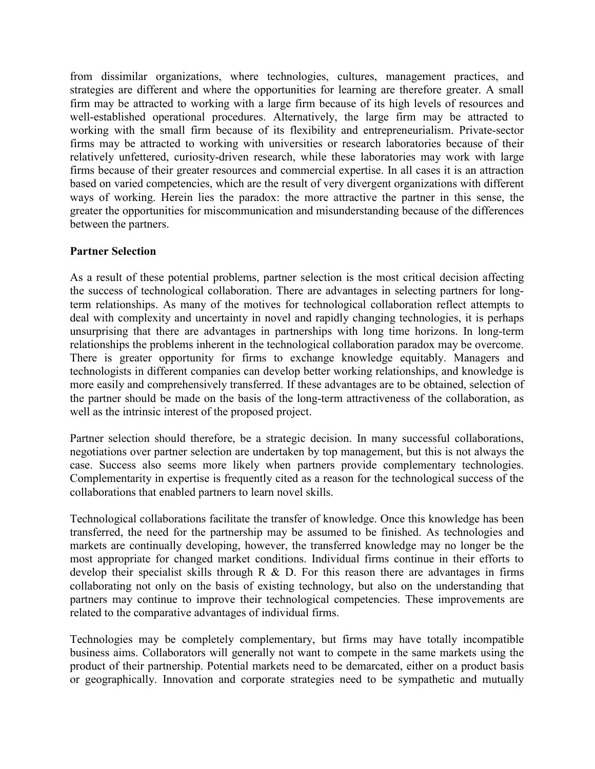from dissimilar organizations, where technologies, cultures, management practices, and strategies are different and where the opportunities for learning are therefore greater. A small firm may be attracted to working with a large firm because of its high levels of resources and well-established operational procedures. Alternatively, the large firm may be attracted to working with the small firm because of its flexibility and entrepreneurialism. Private-sector firms may be attracted to working with universities or research laboratories because of their relatively unfettered, curiosity-driven research, while these laboratories may work with large firms because of their greater resources and commercial expertise. In all cases it is an attraction based on varied competencies, which are the result of very divergent organizations with different ways of working. Herein lies the paradox: the more attractive the partner in this sense, the greater the opportunities for miscommunication and misunderstanding because of the differences between the partners.

# **Partner Selection**

As a result of these potential problems, partner selection is the most critical decision affecting the success of technological collaboration. There are advantages in selecting partners for longterm relationships. As many of the motives for technological collaboration reflect attempts to deal with complexity and uncertainty in novel and rapidly changing technologies, it is perhaps unsurprising that there are advantages in partnerships with long time horizons. In long-term relationships the problems inherent in the technological collaboration paradox may be overcome. There is greater opportunity for firms to exchange knowledge equitably. Managers and technologists in different companies can develop better working relationships, and knowledge is more easily and comprehensively transferred. If these advantages are to be obtained, selection of the partner should be made on the basis of the long-term attractiveness of the collaboration, as well as the intrinsic interest of the proposed project.

Partner selection should therefore, be a strategic decision. In many successful collaborations, negotiations over partner selection are undertaken by top management, but this is not always the case. Success also seems more likely when partners provide complementary technologies. Complementarity in expertise is frequently cited as a reason for the technological success of the collaborations that enabled partners to learn novel skills.

Technological collaborations facilitate the transfer of knowledge. Once this knowledge has been transferred, the need for the partnership may be assumed to be finished. As technologies and markets are continually developing, however, the transferred knowledge may no longer be the most appropriate for changed market conditions. Individual firms continue in their efforts to develop their specialist skills through R  $\&$  D. For this reason there are advantages in firms collaborating not only on the basis of existing technology, but also on the understanding that partners may continue to improve their technological competencies. These improvements are related to the comparative advantages of individual firms.

Technologies may be completely complementary, but firms may have totally incompatible business aims. Collaborators will generally not want to compete in the same markets using the product of their partnership. Potential markets need to be demarcated, either on a product basis or geographically. Innovation and corporate strategies need to be sympathetic and mutually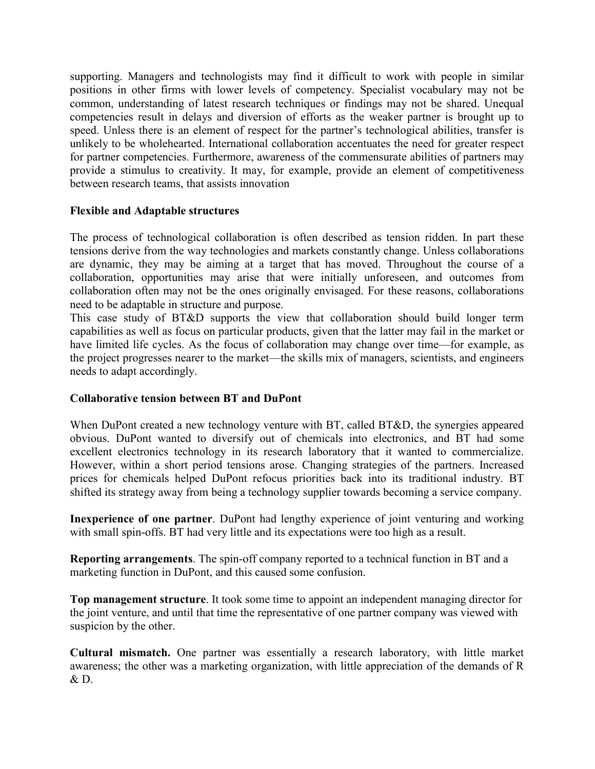supporting. Managers and technologists may find it difficult to work with people in similar positions in other firms with lower levels of competency. Specialist vocabulary may not be common, understanding of latest research techniques or findings may not be shared. Unequal competencies result in delays and diversion of efforts as the weaker partner is brought up to speed. Unless there is an element of respect for the partner's technological abilities, transfer is unlikely to be wholehearted. International collaboration accentuates the need for greater respect for partner competencies. Furthermore, awareness of the commensurate abilities of partners may provide a stimulus to creativity. It may, for example, provide an element of competitiveness between research teams, that assists innovation

# **Flexible and Adaptable structures**

The process of technological collaboration is often described as tension ridden. In part these tensions derive from the way technologies and markets constantly change. Unless collaborations are dynamic, they may be aiming at a target that has moved. Throughout the course of a collaboration, opportunities may arise that were initially unforeseen, and outcomes from collaboration often may not be the ones originally envisaged. For these reasons, collaborations need to be adaptable in structure and purpose.

This case study of BT&D supports the view that collaboration should build longer term capabilities as well as focus on particular products, given that the latter may fail in the market or have limited life cycles. As the focus of collaboration may change over time—for example, as the project progresses nearer to the market—the skills mix of managers, scientists, and engineers needs to adapt accordingly.

### **Collaborative tension between BT and DuPont**

When DuPont created a new technology venture with BT, called BT&D, the synergies appeared obvious. DuPont wanted to diversify out of chemicals into electronics, and BT had some excellent electronics technology in its research laboratory that it wanted to commercialize. However, within a short period tensions arose. Changing strategies of the partners. Increased prices for chemicals helped DuPont refocus priorities back into its traditional industry. BT shifted its strategy away from being a technology supplier towards becoming a service company.

**Inexperience of one partner**. DuPont had lengthy experience of joint venturing and working with small spin-offs. BT had very little and its expectations were too high as a result.

**Reporting arrangements**. The spin-off company reported to a technical function in BT and a marketing function in DuPont, and this caused some confusion.

**Top management structure**. It took some time to appoint an independent managing director for the joint venture, and until that time the representative of one partner company was viewed with suspicion by the other.

**Cultural mismatch.** One partner was essentially a research laboratory, with little market awareness; the other was a marketing organization, with little appreciation of the demands of R  $&D$ .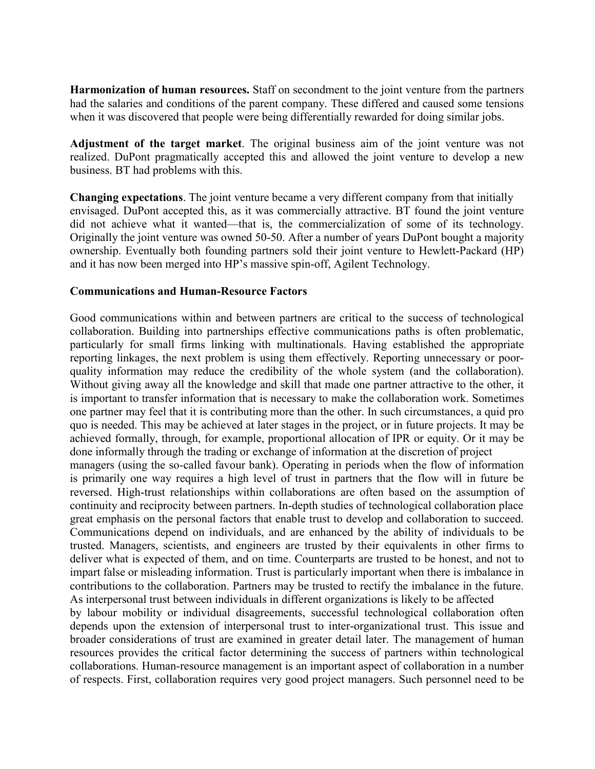**Harmonization of human resources.** Staff on secondment to the joint venture from the partners had the salaries and conditions of the parent company. These differed and caused some tensions when it was discovered that people were being differentially rewarded for doing similar jobs.

**Adjustment of the target market**. The original business aim of the joint venture was not realized. DuPont pragmatically accepted this and allowed the joint venture to develop a new business. BT had problems with this.

**Changing expectations**. The joint venture became a very different company from that initially envisaged. DuPont accepted this, as it was commercially attractive. BT found the joint venture did not achieve what it wanted—that is, the commercialization of some of its technology. Originally the joint venture was owned 50-50. After a number of years DuPont bought a majority ownership. Eventually both founding partners sold their joint venture to Hewlett-Packard (HP) and it has now been merged into HP's massive spin-off, Agilent Technology.

### **Communications and Human-Resource Factors**

Good communications within and between partners are critical to the success of technological collaboration. Building into partnerships effective communications paths is often problematic, particularly for small firms linking with multinationals. Having established the appropriate reporting linkages, the next problem is using them effectively. Reporting unnecessary or poorquality information may reduce the credibility of the whole system (and the collaboration). Without giving away all the knowledge and skill that made one partner attractive to the other, it is important to transfer information that is necessary to make the collaboration work. Sometimes one partner may feel that it is contributing more than the other. In such circumstances, a quid pro quo is needed. This may be achieved at later stages in the project, or in future projects. It may be achieved formally, through, for example, proportional allocation of IPR or equity. Or it may be done informally through the trading or exchange of information at the discretion of project managers (using the so-called favour bank). Operating in periods when the flow of information is primarily one way requires a high level of trust in partners that the flow will in future be reversed. High-trust relationships within collaborations are often based on the assumption of continuity and reciprocity between partners. In-depth studies of technological collaboration place great emphasis on the personal factors that enable trust to develop and collaboration to succeed. Communications depend on individuals, and are enhanced by the ability of individuals to be trusted. Managers, scientists, and engineers are trusted by their equivalents in other firms to deliver what is expected of them, and on time. Counterparts are trusted to be honest, and not to impart false or misleading information. Trust is particularly important when there is imbalance in contributions to the collaboration. Partners may be trusted to rectify the imbalance in the future. As interpersonal trust between individuals in different organizations is likely to be affected by labour mobility or individual disagreements, successful technological collaboration often depends upon the extension of interpersonal trust to inter-organizational trust. This issue and broader considerations of trust are examined in greater detail later. The management of human resources provides the critical factor determining the success of partners within technological collaborations. Human-resource management is an important aspect of collaboration in a number of respects. First, collaboration requires very good project managers. Such personnel need to be